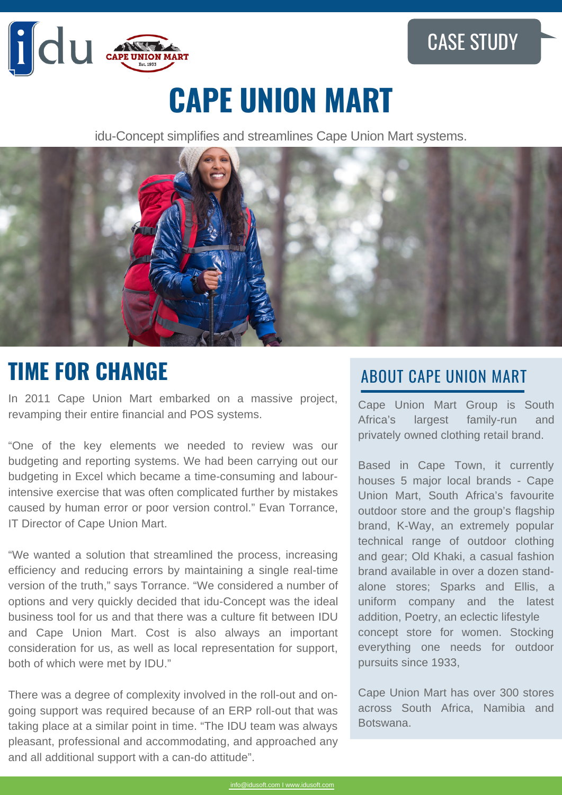### **CASE STUDY**



# **CAPE UNION MART**

idu-Concept simplifies and streamlines Cape Union Mart systems.



### **TIME FOR CHANGE**

In 2011 Cape Union Mart embarked on a massive project, revamping their entire financial and POS systems.

"One of the key elements we needed to review was our budgeting and reporting systems. We had been carrying out our budgeting in Excel which became a time-consuming and labourintensive exercise that was often complicated further by mistakes caused by human error or poor version control." Evan Torrance, IT Director of Cape Union Mart.

"We wanted a solution that streamlined the process, increasing efficiency and reducing errors by maintaining a single real-time version of the truth," says Torrance. "We considered a number of options and very quickly decided that idu-Concept was the ideal business tool for us and that there was a culture fit between IDU and Cape Union Mart. Cost is also always an important consideration for us, as well as local representation for support, both of which were met by IDU."

There was a degree of complexity involved in the roll-out and ongoing support was required because of an ERP roll-out that was taking place at a similar point in time. "The IDU team was always pleasant, professional and accommodating, and approached any and all additional support with a can-do attitude".

#### ABOUT CAPE UNION MART

Cape Union Mart Group is South Africa's largest family-run and privately owned clothing retail brand.

Based in Cape Town, it currently houses 5 major local brands - Cape Union Mart, South Africa's favourite outdoor store and the group's flagship brand, K-Way, an extremely popular technical range of outdoor clothing and gear; Old Khaki, a casual fashion brand available in over a dozen standalone stores; Sparks and Ellis, a uniform company and the latest addition, Poetry, an eclectic lifestyle concept store for women. Stocking everything one needs for outdoor pursuits since 1933,

Cape Union Mart has over 300 stores across South Africa, Namibia and Botswana.